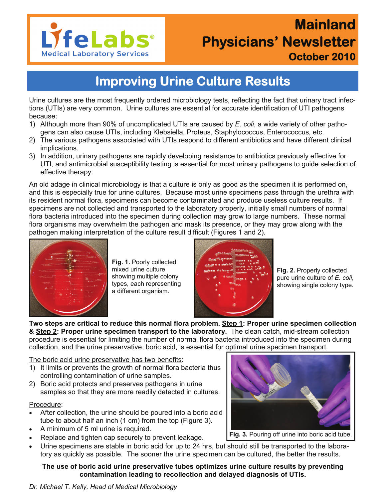

# **Mainland Physicians' Newsletter October 2010**

## **Improving Urine Culture Results**

Urine cultures are the most frequently ordered microbiology tests, reflecting the fact that urinary tract infections (UTIs) are very common. Urine cultures are essential for accurate identification of UTI pathogens because:

- 1) Although more than 90% of uncomplicated UTIs are caused by *E. coli*, a wide variety of other pathogens can also cause UTIs, including Klebsiella, Proteus, Staphylococcus, Enterococcus*,* etc.
- 2) The various pathogens associated with UTIs respond to different antibiotics and have different clinical implications.
- 3) In addition, urinary pathogens are rapidly developing resistance to antibiotics previously effective for UTI, and antimicrobial susceptibility testing is essential for most urinary pathogens to guide selection of effective therapy.

An old adage in clinical microbiology is that a culture is only as good as the specimen it is performed on, and this is especially true for urine cultures. Because most urine specimens pass through the urethra with its resident normal flora, specimens can become contaminated and produce useless culture results. If specimens are not collected and transported to the laboratory properly, initially small numbers of normal flora bacteria introduced into the specimen during collection may grow to large numbers. These normal flora organisms may overwhelm the pathogen and mask its presence, or they may grow along with the pathogen making interpretation of the culture result difficult (Figures 1 and 2).



**Fig. 1.** Poorly collected mixed urine culture showing multiple colony types, each representing a different organism.



**Fig. 2.** Properly collected pure urine culture of *E. coli*, showing single colony type.

**Two steps are critical to reduce this normal flora problem. Step 1: Proper urine specimen collection & Step 2: Proper urine specimen transport to the laboratory.** The clean catch, mid-stream collection procedure is essential for limiting the number of normal flora bacteria introduced into the specimen during collection, and the urine preservative, boric acid, is essential for optimal urine specimen transport.

#### The boric acid urine preservative has two benefits:

- 1) It limits or prevents the growth of normal flora bacteria thus controlling contamination of urine samples.
- 2) Boric acid protects and preserves pathogens in urine samples so that they are more readily detected in cultures.

#### Procedure:

- After collection, the urine should be poured into a boric acid tube to about half an inch (1 cm) from the top (Figure 3).
- A minimum of 5 ml urine is required.
- Replace and tighten cap securely to prevent leakage.
- Urine specimens are stable in boric acid for up to 24 hrs, but should still be transported to the laboratory as quickly as possible. The sooner the urine specimen can be cultured, the better the results.

#### **The use of boric acid urine preservative tubes optimizes urine culture results by preventing contamination leading to recollection and delayed diagnosis of UTIs.**

#### *Dr. Michael T. Kelly, Head of Medical Microbiology*



**Fig. 3.** Pouring off urine into boric acid tube.